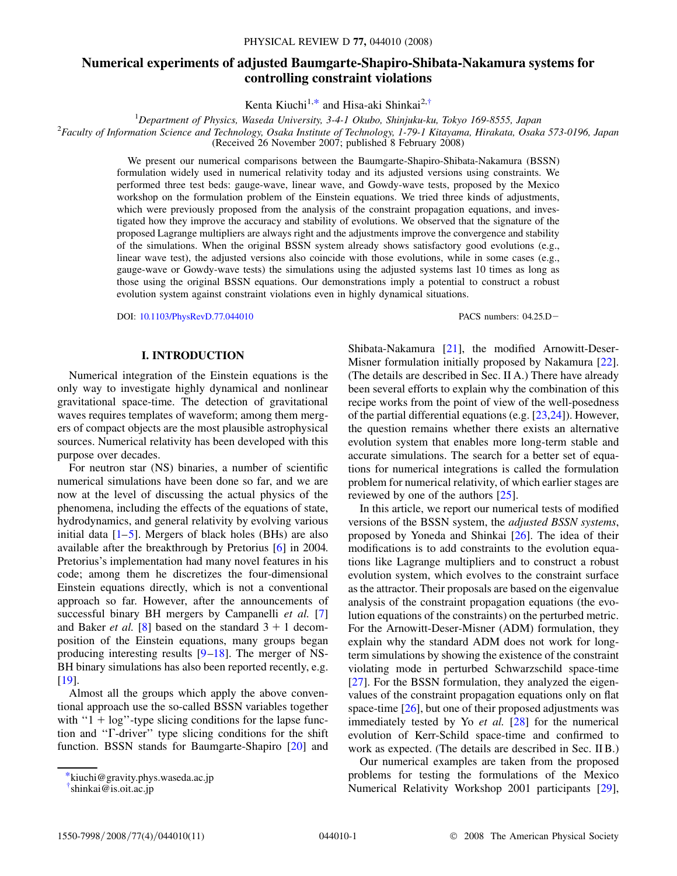# **Numerical experiments of adjusted Baumgarte-Shapiro-Shibata-Nakamura systems for controlling constraint violations**

Kenta Kiuchi<sup>1,[\\*](#page-0-0)</sup> and Hisa-aki Shinkai<sup>2,[†](#page-0-1)</sup>

<span id="page-0-2"></span><sup>1</sup> Department of Physics, Waseda University, 3-4-1 Okubo, Shinjuku-ku, Tokyo 169-8555, Japan<br><sup>2</sup> Easylty of Information Science and Technology Oscka Institute of Technology 1.70.1 Kitayama Hirekata Oscka *Faculty of Information Science and Technology, Osaka Institute of Technology, 1-79-1 Kitayama, Hirakata, Osaka 573-0196, Japan* (Received 26 November 2007; published 8 February 2008)

> We present our numerical comparisons between the Baumgarte-Shapiro-Shibata-Nakamura (BSSN) formulation widely used in numerical relativity today and its adjusted versions using constraints. We performed three test beds: gauge-wave, linear wave, and Gowdy-wave tests, proposed by the Mexico workshop on the formulation problem of the Einstein equations. We tried three kinds of adjustments, which were previously proposed from the analysis of the constraint propagation equations, and investigated how they improve the accuracy and stability of evolutions. We observed that the signature of the proposed Lagrange multipliers are always right and the adjustments improve the convergence and stability of the simulations. When the original BSSN system already shows satisfactory good evolutions (e.g., linear wave test), the adjusted versions also coincide with those evolutions, while in some cases (e.g., gauge-wave or Gowdy-wave tests) the simulations using the adjusted systems last 10 times as long as those using the original BSSN equations. Our demonstrations imply a potential to construct a robust evolution system against constraint violations even in highly dynamical situations.

> DOI: [10.1103/PhysRevD.77.044010](http://dx.doi.org/10.1103/PhysRevD.77.044010) PACS numbers: 04.25.D

## **I. INTRODUCTION**

Numerical integration of the Einstein equations is the only way to investigate highly dynamical and nonlinear gravitational space-time. The detection of gravitational waves requires templates of waveform; among them mergers of compact objects are the most plausible astrophysical sources. Numerical relativity has been developed with this purpose over decades.

For neutron star (NS) binaries, a number of scientific numerical simulations have been done so far, and we are now at the level of discussing the actual physics of the phenomena, including the effects of the equations of state, hydrodynamics, and general relativity by evolving various initial data  $[1–5]$  $[1–5]$  $[1–5]$ . Mergers of black holes (BHs) are also available after the breakthrough by Pretorius [\[6](#page-10-2)] in 2004. Pretorius's implementation had many novel features in his code; among them he discretizes the four-dimensional Einstein equations directly, which is not a conventional approach so far. However, after the announcements of successful binary BH mergers by Campanelli *et al.* [\[7\]](#page-10-3) and Baker *et al.* [\[8\]](#page-10-4) based on the standard  $3 + 1$  decomposition of the Einstein equations, many groups began producing interesting results [[9](#page-10-5)–[18](#page-10-6)]. The merger of NS-BH binary simulations has also been reported recently, e.g. [\[19\]](#page-10-7).

Almost all the groups which apply the above conventional approach use the so-called BSSN variables together with " $1 + \log$ "-type slicing conditions for the lapse function and "T-driver" type slicing conditions for the shift function. BSSN stands for Baumgarte-Shapiro [\[20\]](#page-10-8) and

Shibata-Nakamura [[21](#page-10-9)], the modified Arnowitt-Deser-Misner formulation initially proposed by Nakamura [[22\]](#page-10-10). (The details are described in Sec. II A.) There have already been several efforts to explain why the combination of this recipe works from the point of view of the well-posedness of the partial differential equations (e.g. [[23](#page-10-11),[24](#page-10-12)]). However, the question remains whether there exists an alternative evolution system that enables more long-term stable and accurate simulations. The search for a better set of equations for numerical integrations is called the formulation problem for numerical relativity, of which earlier stages are reviewed by one of the authors [[25](#page-10-13)].

In this article, we report our numerical tests of modified versions of the BSSN system, the *adjusted BSSN systems*, proposed by Yoneda and Shinkai [[26](#page-10-14)]. The idea of their modifications is to add constraints to the evolution equations like Lagrange multipliers and to construct a robust evolution system, which evolves to the constraint surface as the attractor. Their proposals are based on the eigenvalue analysis of the constraint propagation equations (the evolution equations of the constraints) on the perturbed metric. For the Arnowitt-Deser-Misner (ADM) formulation, they explain why the standard ADM does not work for longterm simulations by showing the existence of the constraint violating mode in perturbed Schwarzschild space-time [\[27\]](#page-10-15). For the BSSN formulation, they analyzed the eigenvalues of the constraint propagation equations only on flat space-time  $[26]$ , but one of their proposed adjustments was immediately tested by Yo *et al.* [[28](#page-10-16)] for the numerical evolution of Kerr-Schild space-time and confirmed to work as expected. (The details are described in Sec. II B.)

Our numerical examples are taken from the proposed problems for testing the formulations of the Mexico Numerical Relativity Workshop 2001 participants [\[29\]](#page-10-17),

<span id="page-0-0"></span>[<sup>\\*</sup>k](#page-0-2)iuchi@gravity.phys.waseda.ac.jp

<span id="page-0-1"></span>[<sup>†</sup>](#page-0-2) shinkai@is.oit.ac.jp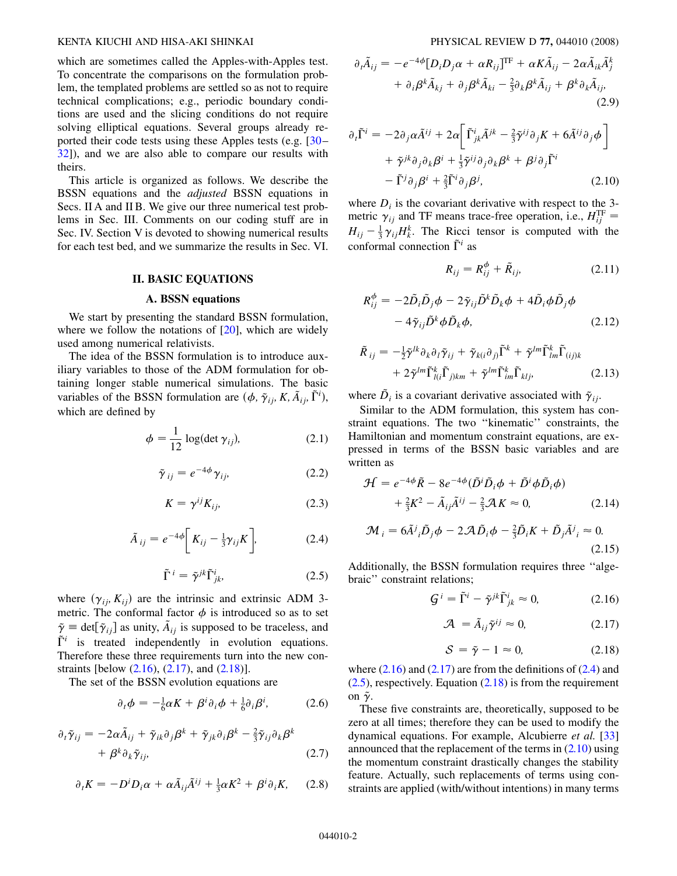which are sometimes called the Apples-with-Apples test. To concentrate the comparisons on the formulation problem, the templated problems are settled so as not to require technical complications; e.g., periodic boundary conditions are used and the slicing conditions do not require solving elliptical equations. Several groups already reported their code tests using these Apples tests (e.g. [\[30](#page-10-18)– [32](#page-10-19)]), and we are also able to compare our results with theirs.

This article is organized as follows. We describe the BSSN equations and the *adjusted* BSSN equations in Secs. II A and II B. We give our three numerical test problems in Sec. III. Comments on our coding stuff are in Sec. IV. Section V is devoted to showing numerical results for each test bed, and we summarize the results in Sec. VI.

## **II. BASIC EQUATIONS**

#### **A. BSSN equations**

We start by presenting the standard BSSN formulation, where we follow the notations of  $[20]$  $[20]$ , which are widely used among numerical relativists.

The idea of the BSSN formulation is to introduce auxiliary variables to those of the ADM formulation for obtaining longer stable numerical simulations. The basic variables of the BSSN formulation are  $(\phi, \tilde{\gamma}_{ij}, K, \tilde{A}_{ij}, \tilde{\Gamma}^i)$ , which are defined by

$$
\phi = \frac{1}{12} \log(\det \gamma_{ij}), \tag{2.1}
$$

$$
\tilde{\gamma}_{ij} = e^{-4\phi} \gamma_{ij}, \qquad (2.2)
$$

$$
K = \gamma^{ij} K_{ij}, \tag{2.3}
$$

<span id="page-1-4"></span><span id="page-1-3"></span>
$$
\tilde{A}_{ij} = e^{-4\phi} \left[ K_{ij} - \frac{1}{3} \gamma_{ij} K \right], \tag{2.4}
$$

$$
\tilde{\Gamma}^i = \tilde{\gamma}^{jk} \tilde{\Gamma}^i_{jk}, \tag{2.5}
$$

where  $(\gamma_{ij}, K_{ij})$  are the intrinsic and extrinsic ADM 3metric. The conformal factor  $\phi$  is introduced so as to set  $\tilde{\gamma} \equiv \det[\tilde{\gamma}_{ij}]$  as unity,  $\tilde{A}_{ij}$  is supposed to be traceless, and  $\tilde{\Gamma}^i$  is treated independently in evolution equations. Therefore these three requirements turn into the new constraints [below  $(2.16)$  $(2.16)$  $(2.16)$ ,  $(2.17)$  $(2.17)$ , and  $(2.18)$  $(2.18)$  $(2.18)$ ].

<span id="page-1-7"></span>The set of the BSSN evolution equations are

$$
\partial_t \phi = -\frac{1}{6} \alpha K + \beta^i \partial_i \phi + \frac{1}{6} \partial_i \beta^i, \tag{2.6}
$$

<span id="page-1-9"></span><span id="page-1-8"></span>
$$
\partial_t \tilde{\gamma}_{ij} = -2\alpha \tilde{A}_{ij} + \tilde{\gamma}_{ik} \partial_j \beta^k + \tilde{\gamma}_{jk} \partial_i \beta^k - \frac{2}{3} \tilde{\gamma}_{ij} \partial_k \beta^k + \beta^k \partial_k \tilde{\gamma}_{ij},
$$
\n(2.7)

$$
\partial_t K = -D^i D_i \alpha + \alpha \tilde{A}_{ij} \tilde{A}^{ij} + \frac{1}{3} \alpha K^2 + \beta^i \partial_i K, \quad (2.8)
$$

<span id="page-1-5"></span>
$$
\partial_t \tilde{A}_{ij} = -e^{-4\phi} [D_i D_j \alpha + \alpha R_{ij}]^{\text{TF}} + \alpha K \tilde{A}_{ij} - 2\alpha \tilde{A}_{ik} \tilde{A}_j^k + \partial_i \beta^k \tilde{A}_{kj} + \partial_j \beta^k \tilde{A}_{ki} - \frac{2}{3} \partial_k \beta^k \tilde{A}_{ij} + \beta^k \partial_k \tilde{A}_{ij},
$$
\n(2.9)

$$
\partial_t \tilde{\Gamma}^i = -2 \partial_j \alpha \tilde{A}^{ij} + 2 \alpha \bigg[ \tilde{\Gamma}^i_{jk} \tilde{A}^{jk} - \frac{2}{3} \tilde{\gamma}^{ij} \partial_j K + 6 \tilde{A}^{ij} \partial_j \phi \bigg] + \tilde{\gamma}^{jk} \partial_j \partial_k \beta^i + \frac{1}{3} \tilde{\gamma}^{ij} \partial_j \partial_k \beta^k + \beta^j \partial_j \tilde{\Gamma}^i - \tilde{\Gamma}^j \partial_j \beta^i + \frac{2}{3} \tilde{\Gamma}^i \partial_j \beta^j,
$$
 (2.10)

<span id="page-1-6"></span>where  $D_i$  is the covariant derivative with respect to the 3metric  $\gamma_{ij}$  and TF means trace-free operation, i.e.,  $H_{ij}^{\text{TF}} =$  $H_{ij} = \frac{1}{3} \gamma_{ij} H_k^k$ . The Ricci tensor is computed with the conformal connection  $\tilde{\Gamma}^i$  as

$$
R_{ij} = R_{ij}^{\phi} + \tilde{R}_{ij}, \qquad (2.11)
$$

<span id="page-1-12"></span>
$$
R_{ij}^{\phi} = -2\tilde{D}_i\tilde{D}_j\phi - 2\tilde{\gamma}_{ij}\tilde{D}^k\tilde{D}_k\phi + 4\tilde{D}_i\phi\tilde{D}_j\phi
$$

$$
-4\tilde{\gamma}_{ij}\tilde{D}^k\phi\tilde{D}_k\phi, \qquad (2.12)
$$

$$
\tilde{R}_{ij} = -\frac{1}{2}\tilde{\gamma}^{lk}\partial_k\partial_l\tilde{\gamma}_{ij} + \tilde{\gamma}_{k(i}\partial_j)\tilde{\Gamma}^k + \tilde{\gamma}^{lm}\tilde{\Gamma}^k_{lm}\tilde{\Gamma}_{(ij)k} \n+ 2\tilde{\gamma}^{lm}\tilde{\Gamma}^k_{l(i}\tilde{\Gamma}_{j)km} + \tilde{\gamma}^{lm}\tilde{\Gamma}^k_{lm}\tilde{\Gamma}_{klj},
$$
\n(2.13)

where  $\tilde{D}_i$  is a covariant derivative associated with  $\tilde{\gamma}_{ij}$ .

Similar to the ADM formulation, this system has constraint equations. The two ''kinematic'' constraints, the Hamiltonian and momentum constraint equations, are expressed in terms of the BSSN basic variables and are written as

<span id="page-1-11"></span>
$$
\mathcal{H} = e^{-4\phi} \tilde{R} - 8e^{-4\phi} (\tilde{D}^i \tilde{D}_i \phi + \tilde{D}^i \phi \tilde{D}_i \phi) \n+ \frac{2}{3} K^2 - \tilde{A}_{ij} \tilde{A}^{ij} - \frac{2}{3} \mathcal{A} K \approx 0,
$$
\n(2.14)

$$
\mathcal{M}_{i} = 6\tilde{A}^{j}{}_{i}\tilde{D}_{j}\phi - 2\mathcal{A}\tilde{D}_{i}\phi - \frac{2}{3}\tilde{D}_{i}K + \tilde{D}_{j}\tilde{A}^{j}{}_{i} \approx 0.
$$
\n(2.15)

<span id="page-1-10"></span><span id="page-1-2"></span><span id="page-1-1"></span>Additionally, the BSSN formulation requires three ''algebraic'' constraint relations;

$$
\mathcal{G}^i = \tilde{\Gamma}^i - \tilde{\gamma}^{jk} \tilde{\Gamma}^i_{jk} \approx 0, \tag{2.16}
$$

$$
\mathcal{A} = \tilde{A}_{ij}\tilde{\gamma}^{ij} \approx 0, \qquad (2.17)
$$

$$
S = \tilde{\gamma} - 1 \approx 0, \tag{2.18}
$$

<span id="page-1-0"></span>where  $(2.16)$  and  $(2.17)$  $(2.17)$  are from the definitions of  $(2.4)$  $(2.4)$  $(2.4)$  and  $(2.5)$ , respectively. Equation  $(2.18)$  is from the requirement on  $\tilde{\gamma}$ .

These five constraints are, theoretically, supposed to be zero at all times; therefore they can be used to modify the dynamical equations. For example, Alcubierre *et al.* [\[33\]](#page-10-20) announced that the replacement of the terms in  $(2.10)$  using the momentum constraint drastically changes the stability feature. Actually, such replacements of terms using constraints are applied (with/without intentions) in many terms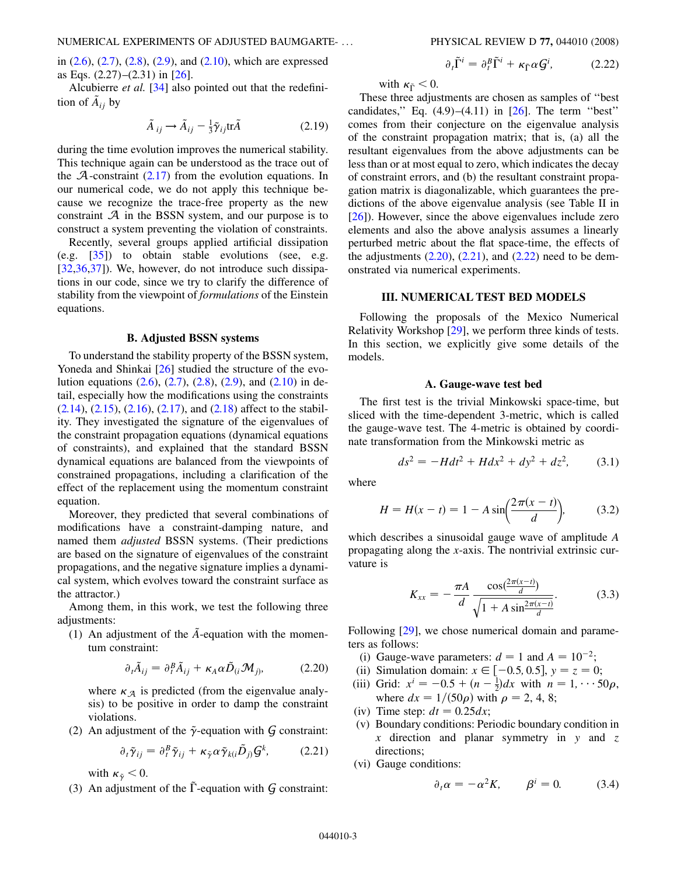in  $(2.6)$  $(2.6)$  $(2.6)$ ,  $(2.7)$  $(2.7)$  $(2.7)$ ,  $(2.8)$  $(2.8)$  $(2.8)$ ,  $(2.9)$  $(2.9)$  $(2.9)$ , and  $(2.10)$  $(2.10)$ , which are expressed as Eqs. (2.27)–(2.31) in [\[26\]](#page-10-14).

<span id="page-2-4"></span>Alcubierre *et al.* [[34\]](#page-10-21) also pointed out that the redefinition of  $\tilde{A}_{ij}$  by

$$
\tilde{A}_{ij} \rightarrow \tilde{A}_{ij} - \frac{1}{3} \tilde{\gamma}_{ij} \text{tr} \tilde{A}
$$
 (2.19)

during the time evolution improves the numerical stability. This technique again can be understood as the trace out of the  $A$ -constraint  $(2.17)$  $(2.17)$  from the evolution equations. In our numerical code, we do not apply this technique because we recognize the trace-free property as the new constraint  $A$  in the BSSN system, and our purpose is to construct a system preventing the violation of constraints.

Recently, several groups applied artificial dissipation (e.g. [[35](#page-10-22)]) to obtain stable evolutions (see, e.g. [\[32](#page-10-19)[,36,](#page-10-23)[37](#page-10-24)]). We, however, do not introduce such dissipations in our code, since we try to clarify the difference of stability from the viewpoint of *formulations* of the Einstein equations.

#### **B. Adjusted BSSN systems**

To understand the stability property of the BSSN system, Yoneda and Shinkai [[26](#page-10-14)] studied the structure of the evolution equations  $(2.6)$  $(2.6)$  $(2.6)$ ,  $(2.7)$ ,  $(2.8)$  $(2.8)$  $(2.8)$ ,  $(2.9)$ , and  $(2.10)$  $(2.10)$  in detail, especially how the modifications using the constraints  $(2.14)$  $(2.14)$ ,  $(2.15)$  $(2.15)$  $(2.15)$ ,  $(2.16)$  $(2.16)$  $(2.16)$ ,  $(2.17)$  $(2.17)$  $(2.17)$ , and  $(2.18)$  $(2.18)$  $(2.18)$  affect to the stability. They investigated the signature of the eigenvalues of the constraint propagation equations (dynamical equations of constraints), and explained that the standard BSSN dynamical equations are balanced from the viewpoints of constrained propagations, including a clarification of the effect of the replacement using the momentum constraint equation.

Moreover, they predicted that several combinations of modifications have a constraint-damping nature, and named them *adjusted* BSSN systems. (Their predictions are based on the signature of eigenvalues of the constraint propagations, and the negative signature implies a dynamical system, which evolves toward the constraint surface as the attractor.)

Among them, in this work, we test the following three adjustments:

<span id="page-2-0"></span>(1) An adjustment of the  $\tilde{A}$ -equation with the momentum constraint:

$$
\partial_t \tilde{A}_{ij} = \partial_t^B \tilde{A}_{ij} + \kappa_A \alpha \tilde{D}_{(i} \mathcal{M}_{j)}, \qquad (2.20)
$$

where  $\kappa_A$  is predicted (from the eigenvalue analysis) to be positive in order to damp the constraint violations.

<span id="page-2-1"></span>(2) An adjustment of the  $\tilde{\gamma}$ -equation with  $\tilde{G}$  constraint:

$$
\partial_t \tilde{\gamma}_{ij} = \partial_t^B \tilde{\gamma}_{ij} + \kappa_{\tilde{\gamma}} \alpha \tilde{\gamma}_{k(i} \tilde{D}_{j)} \mathcal{G}^k, \qquad (2.21)
$$

with  $\kappa_{\tilde{\gamma}} < 0$ .

(3) An adjustment of the  $\tilde{\Gamma}$ -equation with G constraint:

$$
\partial_t \tilde{\Gamma}^i = \partial_t^B \tilde{\Gamma}^i + \kappa_{\tilde{\Gamma}} \alpha \mathcal{G}^i, \tag{2.22}
$$

<span id="page-2-2"></span>with  $\kappa_{\tilde{\Gamma}}$  < 0.

These three adjustments are chosen as samples of ''best candidates," Eq.  $(4.9)$ - $(4.11)$  in  $[26]$  $[26]$  $[26]$ . The term "best" comes from their conjecture on the eigenvalue analysis of the constraint propagation matrix; that is, (a) all the resultant eigenvalues from the above adjustments can be less than or at most equal to zero, which indicates the decay of constraint errors, and (b) the resultant constraint propagation matrix is diagonalizable, which guarantees the predictions of the above eigenvalue analysis (see Table II in [\[26\]](#page-10-14)). However, since the above eigenvalues include zero elements and also the above analysis assumes a linearly perturbed metric about the flat space-time, the effects of the adjustments  $(2.20)$  $(2.20)$  $(2.20)$ ,  $(2.21)$ , and  $(2.22)$  $(2.22)$  need to be demonstrated via numerical experiments.

## **III. NUMERICAL TEST BED MODELS**

Following the proposals of the Mexico Numerical Relativity Workshop [[29](#page-10-17)], we perform three kinds of tests. In this section, we explicitly give some details of the models.

#### **A. Gauge-wave test bed**

The first test is the trivial Minkowski space-time, but sliced with the time-dependent 3-metric, which is called the gauge-wave test. The 4-metric is obtained by coordinate transformation from the Minkowski metric as

$$
ds^2 = -Hdt^2 + Hdx^2 + dy^2 + dz^2, \qquad (3.1)
$$

<span id="page-2-5"></span>where

$$
H = H(x - t) = 1 - A \sin\left(\frac{2\pi(x - t)}{d}\right),
$$
 (3.2)

which describes a sinusoidal gauge wave of amplitude *A* propagating along the *x*-axis. The nontrivial extrinsic curvature is

$$
K_{xx} = -\frac{\pi A}{d} \frac{\cos(\frac{2\pi(x-t)}{d})}{\sqrt{1 + A \sin(\frac{2\pi(x-t)}{d})}}.
$$
(3.3)

Following [\[29\]](#page-10-17), we chose numerical domain and parameters as follows:

- (i) Gauge-wave parameters:  $d = 1$  and  $A = 10^{-2}$ ;
- (ii) Simulation domain:  $x \in [-0.5, 0.5]$ ,  $y = z = 0$ ;
- (iii) Grid:  $x^i = -0.5 + (n \frac{1}{2})dx$  with  $n = 1, \dots 50\rho$ , where  $dx = 1/(50\rho)$  with  $\rho = 2, 4, 8;$
- (iv) Time step:  $dt = 0.25 dx$ ;
- (v) Boundary conditions: Periodic boundary condition in *x* direction and planar symmetry in *y* and *z* directions;
- <span id="page-2-3"></span>(vi) Gauge conditions:

$$
\partial_t \alpha = -\alpha^2 K, \qquad \beta^i = 0. \tag{3.4}
$$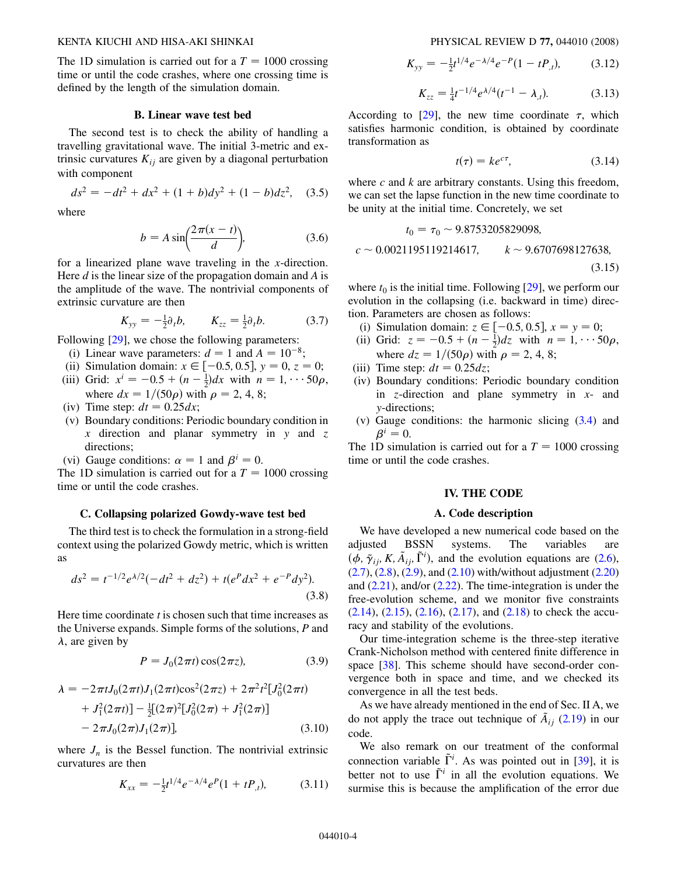The 1D simulation is carried out for a  $T = 1000$  crossing time or until the code crashes, where one crossing time is defined by the length of the simulation domain.

## **B. Linear wave test bed**

The second test is to check the ability of handling a travelling gravitational wave. The initial 3-metric and extrinsic curvatures  $K_{ij}$  are given by a diagonal perturbation with component

$$
ds^{2} = -dt^{2} + dx^{2} + (1+b)dy^{2} + (1-b)dz^{2}, \quad (3.5)
$$

where

$$
b = A \sin\left(\frac{2\pi(x - t)}{d}\right),\tag{3.6}
$$

for a linearized plane wave traveling in the *x*-direction. Here *d* is the linear size of the propagation domain and *A* is the amplitude of the wave. The nontrivial components of extrinsic curvature are then

$$
K_{yy} = -\frac{1}{2}\partial_t b, \qquad K_{zz} = \frac{1}{2}\partial_t b. \tag{3.7}
$$

Following  $[29]$ , we chose the following parameters:

- (i) Linear wave parameters:  $d = 1$  and  $A = 10^{-8}$ ;
- (ii) Simulation domain:  $x \in [-0.5, 0.5]$ ,  $y = 0$ ,  $z = 0$ ;
- (iii) Grid:  $x^i = -0.5 + (n \frac{1}{2})dx$  with  $n = 1, \dots 50\rho$ , where  $dx = 1/(50\rho)$  with  $\rho = 2, 4, 8;$
- (iv) Time step:  $dt = 0.25 dx$ ;
- (v) Boundary conditions: Periodic boundary condition in *x* direction and planar symmetry in *y* and *z* directions;

(vi) Gauge conditions:  $\alpha = 1$  and  $\beta^{i} = 0$ .

The 1D simulation is carried out for a  $T = 1000$  crossing time or until the code crashes.

#### **C. Collapsing polarized Gowdy-wave test bed**

The third test is to check the formulation in a strong-field context using the polarized Gowdy metric, which is written as

$$
ds^{2} = t^{-1/2}e^{\lambda/2}(-dt^{2} + dz^{2}) + t(e^{P}dx^{2} + e^{-P}dy^{2}).
$$
\n(3.8)

Here time coordinate *t* is chosen such that time increases as the Universe expands. Simple forms of the solutions, *P* and  $\lambda$ , are given by

$$
P = J_0(2\pi t)\cos(2\pi z),\tag{3.9}
$$

$$
\lambda = -2\pi t J_0(2\pi t)J_1(2\pi t)\cos^2(2\pi z) + 2\pi^2 t^2 [J_0^2(2\pi t) + J_1^2(2\pi t)] - \frac{1}{2}[(2\pi)^2 [J_0^2(2\pi) + J_1^2(2\pi)] - 2\pi J_0(2\pi)J_1(2\pi)],
$$
\n(3.10)

where  $J_n$  is the Bessel function. The nontrivial extrinsic curvatures are then

$$
K_{xx} = -\frac{1}{2}t^{1/4}e^{-\lambda/4}e^{P}(1 + tP_{,t}), \qquad (3.11)
$$

$$
K_{yy} = -\frac{1}{2}t^{1/4}e^{-\lambda/4}e^{-P}(1 - tP_{,t}), \qquad (3.12)
$$

$$
K_{zz} = \frac{1}{4}t^{-1/4}e^{\lambda/4}(t^{-1} - \lambda_{,t}).
$$
 (3.13)

According to  $[29]$ , the new time coordinate  $\tau$ , which satisfies harmonic condition, is obtained by coordinate transformation as

$$
t(\tau) = ke^{c\tau},\tag{3.14}
$$

where *c* and *k* are arbitrary constants. Using this freedom, we can set the lapse function in the new time coordinate to be unity at the initial time. Concretely, we set

$$
t_0 = \tau_0 \sim 9.8753205829098,
$$
  

$$
c \sim 0.0021195119214617, \qquad k \sim 9.6707698127638,
$$
  
(3.15)

where  $t_0$  is the initial time. Following  $[29]$  $[29]$ , we perform our evolution in the collapsing (i.e. backward in time) direction. Parameters are chosen as follows:

- (i) Simulation domain:  $z \in [-0.5, 0.5]$ ,  $x = y = 0$ ;
- (ii) Grid:  $z = -0.5 + (n \frac{1}{2})dz$  with  $n = 1, \dots 50\rho$ , where  $dz = 1/(50\rho)$  with  $\rho = 2, 4, 8;$
- (iii) Time step:  $dt = 0.25 dz$ ;
- (iv) Boundary conditions: Periodic boundary condition in *z*-direction and plane symmetry in *x*- and *y*-directions;
- (v) Gauge conditions: the harmonic slicing ([3.4](#page-2-3)) and  $\beta^i = 0$ .

The 1D simulation is carried out for a  $T = 1000$  crossing time or until the code crashes.

### **IV. THE CODE**

#### **A. Code description**

We have developed a new numerical code based on the adjusted BSSN systems. The variables are  $(\phi, \tilde{\gamma}_{ij}, K, \tilde{A}_{ij}, \tilde{\Gamma}^i)$ , and the evolution equations are [\(2.6\)](#page-1-6),  $(2.7), (2.8), (2.9),$  $(2.7), (2.8), (2.9),$  $(2.7), (2.8), (2.9),$  $(2.7), (2.8), (2.9),$  $(2.7), (2.8), (2.9),$  $(2.7), (2.8), (2.9),$  and  $(2.10)$  with/without adjustment  $(2.20)$  $(2.20)$ and  $(2.21)$ , and/or  $(2.22)$  $(2.22)$  $(2.22)$ . The time-integration is under the free-evolution scheme, and we monitor five constraints  $(2.14)$  $(2.14)$ ,  $(2.15)$  $(2.15)$ ,  $(2.16)$ ,  $(2.17)$  $(2.17)$  $(2.17)$ , and  $(2.18)$  to check the accuracy and stability of the evolutions.

Our time-integration scheme is the three-step iterative Crank-Nicholson method with centered finite difference in space [\[38\]](#page-10-25). This scheme should have second-order convergence both in space and time, and we checked its convergence in all the test beds.

As we have already mentioned in the end of Sec. II A, we do not apply the trace out technique of  $\tilde{A}_{ij}$  [\(2.19\)](#page-2-4) in our code.

We also remark on our treatment of the conformal connection variable  $\tilde{\Gamma}^i$ . As was pointed out in [[39](#page-10-26)], it is better not to use  $\tilde{\Gamma}^i$  in all the evolution equations. We surmise this is because the amplification of the error due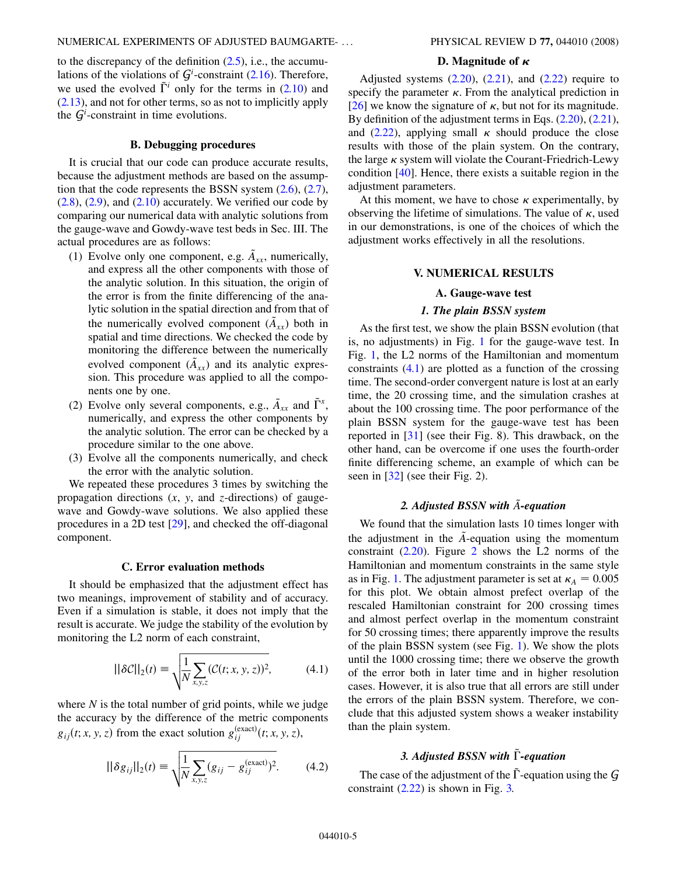to the discrepancy of the definition  $(2.5)$ , i.e., the accumulations of the violations of  $G^i$ -constraint ([2.16](#page-1-0)). Therefore, we used the evolved  $\tilde{\Gamma}^i$  only for the terms in ([2.10](#page-1-5)) and [\(2.13](#page-1-12)), and not for other terms, so as not to implicitly apply the  $G^i$ -constraint in time evolutions.

## **B. Debugging procedures**

It is crucial that our code can produce accurate results, because the adjustment methods are based on the assumption that the code represents the BSSN system  $(2.6)$  $(2.6)$ ,  $(2.7)$ ,  $(2.8)$ ,  $(2.9)$ , and  $(2.10)$  $(2.10)$  accurately. We verified our code by comparing our numerical data with analytic solutions from the gauge-wave and Gowdy-wave test beds in Sec. III. The actual procedures are as follows:

- (1) Evolve only one component, e.g.  $\tilde{A}_{rr}$ , numerically, and express all the other components with those of the analytic solution. In this situation, the origin of the error is from the finite differencing of the analytic solution in the spatial direction and from that of the numerically evolved component  $(\tilde{A}_{rr})$  both in spatial and time directions. We checked the code by monitoring the difference between the numerically evolved component  $(\tilde{A}_{xx})$  and its analytic expression. This procedure was applied to all the components one by one.
- (2) Evolve only several components, e.g.,  $\tilde{A}_{xx}$  and  $\tilde{\Gamma}^x$ , numerically, and express the other components by the analytic solution. The error can be checked by a procedure similar to the one above.
- (3) Evolve all the components numerically, and check the error with the analytic solution.

We repeated these procedures 3 times by switching the propagation directions (*x*, *y*, and *z*-directions) of gaugewave and Gowdy-wave solutions. We also applied these procedures in a 2D test [\[29\]](#page-10-17), and checked the off-diagonal component.

## **C. Error evaluation methods**

<span id="page-4-0"></span>It should be emphasized that the adjustment effect has two meanings, improvement of stability and of accuracy. Even if a simulation is stable, it does not imply that the result is accurate. We judge the stability of the evolution by monitoring the L2 norm of each constraint,

$$
\|\delta \mathcal{C}\|_2(t) \equiv \sqrt{\frac{1}{N} \sum_{x,y,z} (\mathcal{C}(t;x,y,z))^2},\tag{4.1}
$$

<span id="page-4-1"></span>where *N* is the total number of grid points, while we judge the accuracy by the difference of the metric components  $g_{ij}(t; x, y, z)$  from the exact solution  $g_{ij}^{(exact)}(t; x, y, z)$ ,

$$
||\delta g_{ij}||_2(t) = \sqrt{\frac{1}{N} \sum_{x,y,z} (g_{ij} - g_{ij}^{(\text{exact})})^2}.
$$
 (4.2)

#### D. Magnitude of  $\kappa$

Adjusted systems  $(2.20)$  $(2.20)$ ,  $(2.21)$  $(2.21)$  $(2.21)$ , and  $(2.22)$  $(2.22)$  require to specify the parameter  $\kappa$ . From the analytical prediction in [\[26\]](#page-10-14) we know the signature of  $\kappa$ , but not for its magnitude. By definition of the adjustment terms in Eqs.  $(2.20)$  $(2.20)$  $(2.20)$ ,  $(2.21)$ , and ([2.22](#page-2-2)), applying small  $\kappa$  should produce the close results with those of the plain system. On the contrary, the large  $\kappa$  system will violate the Courant-Friedrich-Lewy condition [[40](#page-10-27)]. Hence, there exists a suitable region in the adjustment parameters.

At this moment, we have to chose  $\kappa$  experimentally, by observing the lifetime of simulations. The value of  $\kappa$ , used in our demonstrations, is one of the choices of which the adjustment works effectively in all the resolutions.

## **V. NUMERICAL RESULTS**

#### **A. Gauge-wave test**

### *1. The plain BSSN system*

As the first test, we show the plain BSSN evolution (that is, no adjustments) in Fig. [1](#page-5-0) for the gauge-wave test. In Fig. [1](#page-5-0), the L2 norms of the Hamiltonian and momentum constraints ([4.1](#page-4-0)) are plotted as a function of the crossing time. The second-order convergent nature is lost at an early time, the 20 crossing time, and the simulation crashes at about the 100 crossing time. The poor performance of the plain BSSN system for the gauge-wave test has been reported in [[31](#page-10-28)] (see their Fig. 8). This drawback, on the other hand, can be overcome if one uses the fourth-order finite differencing scheme, an example of which can be seen in [\[32\]](#page-10-19) (see their Fig. 2).

## *2. Adjusted BSSN with A*~*-equation*

We found that the simulation lasts 10 times longer with the adjustment in the  $\tilde{A}$ -equation using the momentum constraint  $(2.20)$  $(2.20)$ . Figure [2](#page-5-1) shows the L2 norms of the Hamiltonian and momentum constraints in the same style as in Fig. [1.](#page-5-0) The adjustment parameter is set at  $\kappa_A = 0.005$ for this plot. We obtain almost prefect overlap of the rescaled Hamiltonian constraint for 200 crossing times and almost perfect overlap in the momentum constraint for 50 crossing times; there apparently improve the results of the plain BSSN system (see Fig. [1\)](#page-5-0). We show the plots until the 1000 crossing time; there we observe the growth of the error both in later time and in higher resolution cases. However, it is also true that all errors are still under the errors of the plain BSSN system. Therefore, we conclude that this adjusted system shows a weaker instability than the plain system.

## *3. Adjusted BSSN with* ~*-equation*

The case of the adjustment of the  $\Gamma$ -equation using the  $G$ constraint  $(2.22)$  $(2.22)$  is shown in Fig. [3.](#page-5-2)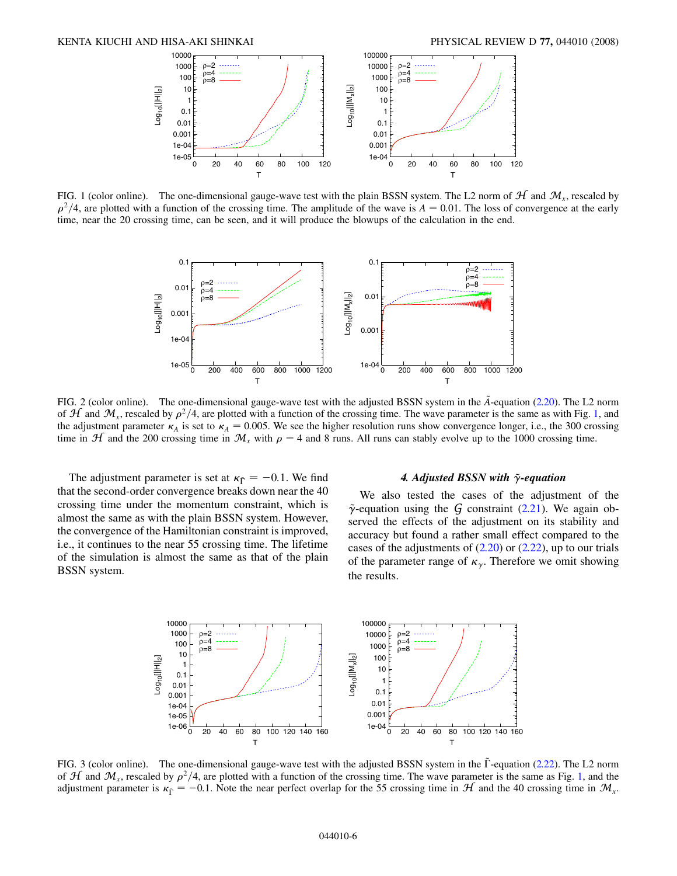<span id="page-5-0"></span>

<span id="page-5-1"></span>FIG. 1 (color online). The one-dimensional gauge-wave test with the plain BSSN system. The L2 norm of  $H$  and  $M<sub>r</sub>$ , rescaled by  $\rho^2/4$ , are plotted with a function of the crossing time. The amplitude of the wave is  $A = 0.01$ . The loss of convergence at the early time, near the 20 crossing time, can be seen, and it will produce the blowups of the calculation in the end.



FIG. 2 (color online). The one-dimensional gauge-wave test with the adjusted BSSN system in the  $\tilde{A}$ -equation [\(2.20\)](#page-2-0). The L2 norm of  $\mathcal{H}$  and  $\mathcal{M}_x$ , rescaled by  $\rho^2/4$ , are plotted with a function of the crossing time. The wave parameter is the same as with Fig. [1,](#page-5-0) and the adjustment parameter  $\kappa_A$  is set to  $\kappa_A = 0.005$ . We see the higher resolution runs show convergence longer, i.e., the 300 crossing time in  $H$  and the 200 crossing time in  $\mathcal{M}_x$  with  $\rho = 4$  and 8 runs. All runs can stably evolve up to the 1000 crossing time.

The adjustment parameter is set at  $\kappa_{\tilde{\Gamma}} = -0.1$ . We find that the second-order convergence breaks down near the 40 crossing time under the momentum constraint, which is almost the same as with the plain BSSN system. However, the convergence of the Hamiltonian constraint is improved, i.e., it continues to the near 55 crossing time. The lifetime of the simulation is almost the same as that of the plain BSSN system.

## **4. Adjusted BSSN with**  $\tilde{\gamma}$ **-equation**

We also tested the cases of the adjustment of the  $\tilde{\gamma}$ -equation using the G constraint [\(2.21\)](#page-2-1). We again observed the effects of the adjustment on its stability and accuracy but found a rather small effect compared to the cases of the adjustments of  $(2.20)$  $(2.20)$  or  $(2.22)$  $(2.22)$ , up to our trials of the parameter range of  $\kappa_{\gamma}$ . Therefore we omit showing the results.

<span id="page-5-2"></span>

FIG. 3 (color online). The one-dimensional gauge-wave test with the adjusted BSSN system in the  $\Gamma$ -equation [\(2.22\)](#page-2-2). The L2 norm of  $\mathcal{H}$  and  $\mathcal{M}_x$ , rescaled by  $\rho^2/4$ , are plotted with a function of the crossing time. The wave parameter is the same as Fig. [1](#page-5-0), and the adjustment parameter is  $\kappa_{\Gamma} = -0.1$ . Note the near perfect overlap for the 55 crossing time in  $\mathcal{H}$  and the 40 crossing time in  $\mathcal{M}_x$ .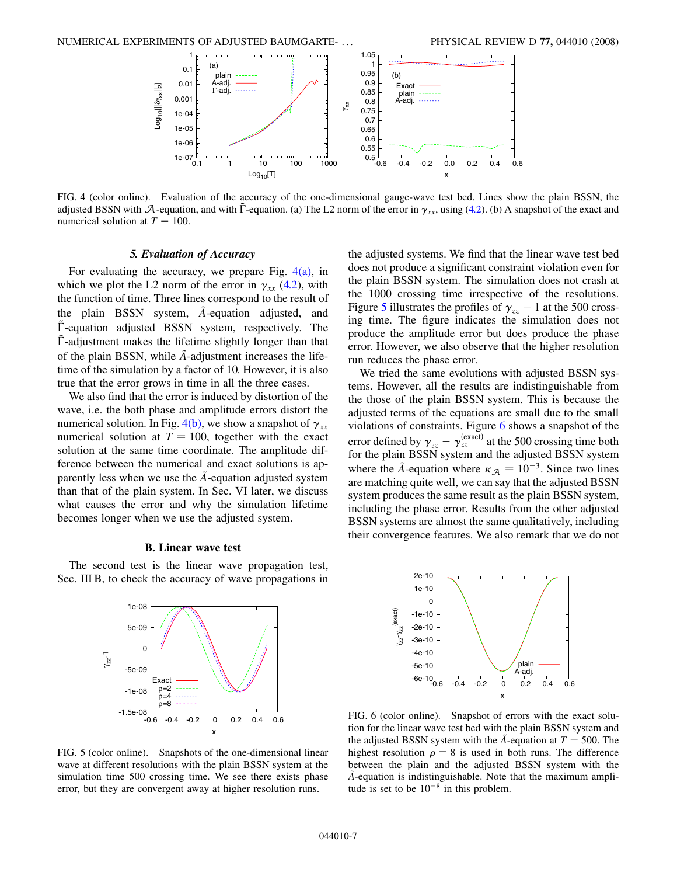

<span id="page-6-0"></span>FIG. 4 (color online). Evaluation of the accuracy of the one-dimensional gauge-wave test bed. Lines show the plain BSSN, the adjusted BSSN with A-equation, and with  $\tilde{\Gamma}$ -equation. (a) The L2 norm of the error in  $\gamma_{xx}$ , using [\(4.2\)](#page-4-1). (b) A snapshot of the exact and numerical solution at  $T = 100$ .

#### *5. Evaluation of Accuracy*

For evaluating the accuracy, we prepare Fig.  $4(a)$ , in which we plot the L2 norm of the error in  $\gamma_{xx}$  ([4.2](#page-4-1)), with the function of time. Three lines correspond to the result of the plain BSSN system, *A*-equation adjusted, and  $\tilde{\Gamma}$ -equation adjusted BSSN system, respectively. The  $\Gamma$ -adjustment makes the lifetime slightly longer than that of the plain BSSN, while  $\ddot{A}$ -adjustment increases the lifetime of the simulation by a factor of 10. However, it is also true that the error grows in time in all the three cases.

We also find that the error is induced by distortion of the wave, i.e. the both phase and amplitude errors distort the numerical solution. In Fig.  $4(b)$ , we show a snapshot of  $\gamma_{xx}$ numerical solution at  $T = 100$ , together with the exact solution at the same time coordinate. The amplitude difference between the numerical and exact solutions is apparently less when we use the *A*-equation adjusted system than that of the plain system. In Sec. VI later, we discuss what causes the error and why the simulation lifetime becomes longer when we use the adjusted system.

#### **B. Linear wave test**

The second test is the linear wave propagation test, Sec. III B, to check the accuracy of wave propagations in

<span id="page-6-1"></span>

FIG. 5 (color online). Snapshots of the one-dimensional linear wave at different resolutions with the plain BSSN system at the simulation time 500 crossing time. We see there exists phase error, but they are convergent away at higher resolution runs.

the adjusted systems. We find that the linear wave test bed does not produce a significant constraint violation even for the plain BSSN system. The simulation does not crash at the 1000 crossing time irrespective of the resolutions. Figure [5](#page-6-1) illustrates the profiles of  $\gamma_{zz}$  – 1 at the 500 crossing time. The figure indicates the simulation does not produce the amplitude error but does produce the phase error. However, we also observe that the higher resolution run reduces the phase error.

We tried the same evolutions with adjusted BSSN systems. However, all the results are indistinguishable from the those of the plain BSSN system. This is because the adjusted terms of the equations are small due to the small violations of constraints. Figure [6](#page-6-2) shows a snapshot of the error defined by  $\gamma_{zz} - \gamma_{zz}^{(exact)}$  at the 500 crossing time both for the plain BSSN system and the adjusted BSSN system where the  $\tilde{A}$ -equation where  $\kappa_A = 10^{-3}$ . Since two lines are matching quite well, we can say that the adjusted BSSN system produces the same result as the plain BSSN system, including the phase error. Results from the other adjusted BSSN systems are almost the same qualitatively, including their convergence features. We also remark that we do not

<span id="page-6-2"></span>

FIG. 6 (color online). Snapshot of errors with the exact solution for the linear wave test bed with the plain BSSN system and the adjusted BSSN system with the  $\tilde{A}$ -equation at  $T = 500$ . The highest resolution  $\rho = 8$  is used in both runs. The difference between the plain and the adjusted BSSN system with the *A*~-equation is indistinguishable. Note that the maximum amplitude is set to be  $10^{-8}$  in this problem.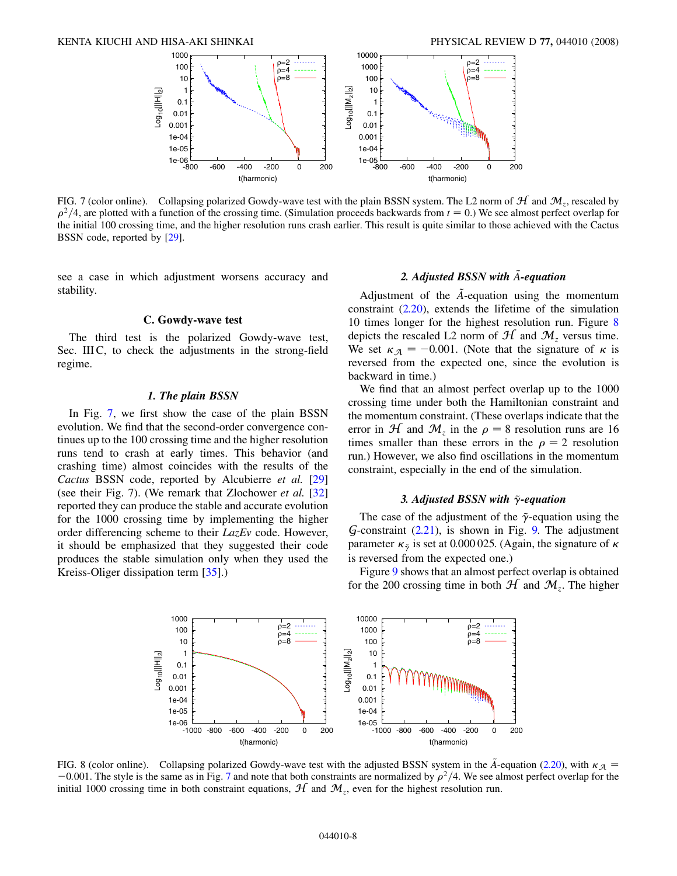<span id="page-7-0"></span>

FIG. 7 (color online). Collapsing polarized Gowdy-wave test with the plain BSSN system. The L2 norm of  $H$  and  $M_z$ , rescaled by  $\rho^2/4$ , are plotted with a function of the crossing time. (Simulation proceeds backwards from  $t = 0$ .) We see almost perfect overlap for the initial 100 crossing time, and the higher resolution runs crash earlier. This result is quite similar to those achieved with the Cactus BSSN code, reported by [\[29\]](#page-10-17).

see a case in which adjustment worsens accuracy and stability.

#### **C. Gowdy-wave test**

The third test is the polarized Gowdy-wave test, Sec. III C, to check the adjustments in the strong-field regime.

#### *1. The plain BSSN*

In Fig. [7](#page-7-0), we first show the case of the plain BSSN evolution. We find that the second-order convergence continues up to the 100 crossing time and the higher resolution runs tend to crash at early times. This behavior (and crashing time) almost coincides with the results of the *Cactus* BSSN code, reported by Alcubierre *et al.* [\[29\]](#page-10-17) (see their Fig. 7). (We remark that Zlochower *et al.* [\[32\]](#page-10-19) reported they can produce the stable and accurate evolution for the 1000 crossing time by implementing the higher order differencing scheme to their *LazEv* code. However, it should be emphasized that they suggested their code produces the stable simulation only when they used the Kreiss-Oliger dissipation term [\[35\]](#page-10-22).)

## *2. Adjusted BSSN with A*~*-equation*

Adjustment of the *A*-equation using the momentum constraint ([2.20](#page-2-0)), extends the lifetime of the simulation 10 times longer for the highest resolution run. Figure [8](#page-7-1) depicts the rescaled L2 norm of  $H$  and  $M$ <sub>z</sub> versus time. We set  $\kappa_A = -0.001$ . (Note that the signature of  $\kappa$  is reversed from the expected one, since the evolution is backward in time.)

We find that an almost perfect overlap up to the 1000 crossing time under both the Hamiltonian constraint and the momentum constraint. (These overlaps indicate that the error in  $H$  and  $M_z$  in the  $\rho = 8$  resolution runs are 16 times smaller than these errors in the  $\rho = 2$  resolution run.) However, we also find oscillations in the momentum constraint, especially in the end of the simulation.

## 3. Adjusted BSSN with  $\tilde{\gamma}$ -equation

The case of the adjustment of the  $\tilde{\gamma}$ -equation using the  $G$ -constraint  $(2.21)$  $(2.21)$ , is shown in Fig. [9.](#page-8-0) The adjustment parameter  $\kappa_{\tilde{\gamma}}$  is set at 0.000 025. (Again, the signature of  $\kappa$ is reversed from the expected one.)

Figure [9](#page-8-0) shows that an almost perfect overlap is obtained for the 200 crossing time in both  $H$  and  $M<sub>z</sub>$ . The higher

<span id="page-7-1"></span>

FIG. 8 (color online). Collapsing polarized Gowdy-wave test with the adjusted BSSN system in the  $\tilde{A}$ -equation ([2.20\)](#page-2-0), with  $K_{\tilde{A}} =$  $-0.001$ . The style is the same as in Fig. [7](#page-7-0) and note that both constraints are normalized by  $\rho^2/4$ . We see almost perfect overlap for the initial 1000 crossing time in both constraint equations,  $H$  and  $M$ <sub>z</sub>, even for the highest resolution run.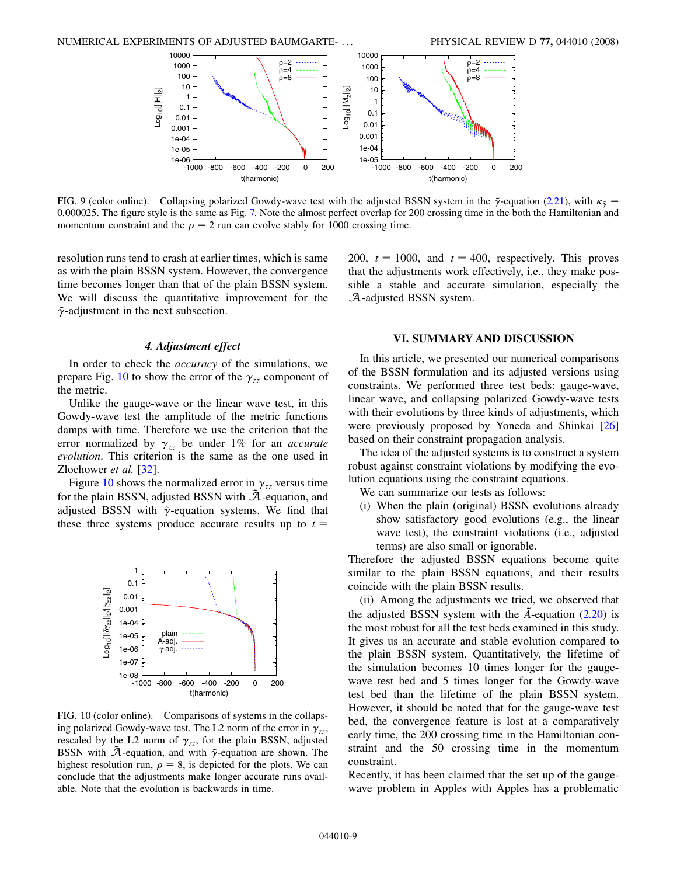<span id="page-8-0"></span>

FIG. 9 (color online). Collapsing polarized Gowdy-wave test with the adjusted BSSN system in the  $\tilde{\gamma}$ -equation ([2.21\)](#page-2-1), with  $\kappa_{\tilde{\gamma}} =$ 0*:*000025. The figure style is the same as Fig. [7.](#page-7-0) Note the almost perfect overlap for 200 crossing time in the both the Hamiltonian and momentum constraint and the  $\rho = 2$  run can evolve stably for 1000 crossing time.

resolution runs tend to crash at earlier times, which is same as with the plain BSSN system. However, the convergence time becomes longer than that of the plain BSSN system. We will discuss the quantitative improvement for the  $\tilde{\gamma}$ -adjustment in the next subsection.

200,  $t = 1000$ , and  $t = 400$ , respectively. This proves that the adjustments work effectively, i.e., they make possible a stable and accurate simulation, especially the A-adjusted BSSN system.

#### *4. Adjustment effect*

In order to check the *accuracy* of the simulations, we prepare Fig. [10](#page-8-1) to show the error of the  $\gamma_{zz}$  component of the metric.

Unlike the gauge-wave or the linear wave test, in this Gowdy-wave test the amplitude of the metric functions damps with time. Therefore we use the criterion that the error normalized by  $\gamma_{zz}$  be under 1% for an *accurate evolution*. This criterion is the same as the one used in Zlochower *et al.* [[32](#page-10-19)].

Figure [10](#page-8-1) shows the normalized error in  $\gamma_{zz}$  versus time for the plain BSSN, adjusted BSSN with  $A$ -equation, and adjusted BSSN with  $\tilde{\gamma}$ -equation systems. We find that these three systems produce accurate results up to  $t =$ 

<span id="page-8-1"></span>

FIG. 10 (color online). Comparisons of systems in the collapsing polarized Gowdy-wave test. The L2 norm of the error in  $\gamma_{zz}$ , rescaled by the L2 norm of  $\gamma_{zz}$ , for the plain BSSN, adjusted BSSN with  $\tilde{A}$ -equation, and with  $\tilde{\gamma}$ -equation are shown. The highest resolution run,  $\rho = 8$ , is depicted for the plots. We can conclude that the adjustments make longer accurate runs available. Note that the evolution is backwards in time.

#### **VI. SUMMARY AND DISCUSSION**

In this article, we presented our numerical comparisons of the BSSN formulation and its adjusted versions using constraints. We performed three test beds: gauge-wave, linear wave, and collapsing polarized Gowdy-wave tests with their evolutions by three kinds of adjustments, which were previously proposed by Yoneda and Shinkai [\[26\]](#page-10-14) based on their constraint propagation analysis.

The idea of the adjusted systems is to construct a system robust against constraint violations by modifying the evolution equations using the constraint equations.

We can summarize our tests as follows:

(i) When the plain (original) BSSN evolutions already show satisfactory good evolutions (e.g., the linear wave test), the constraint violations (i.e., adjusted terms) are also small or ignorable.

Therefore the adjusted BSSN equations become quite similar to the plain BSSN equations, and their results coincide with the plain BSSN results.

(ii) Among the adjustments we tried, we observed that the adjusted BSSN system with the  $\tilde{A}$ -equation ([2.20](#page-2-0)) is the most robust for all the test beds examined in this study. It gives us an accurate and stable evolution compared to the plain BSSN system. Quantitatively, the lifetime of the simulation becomes 10 times longer for the gaugewave test bed and 5 times longer for the Gowdy-wave test bed than the lifetime of the plain BSSN system. However, it should be noted that for the gauge-wave test bed, the convergence feature is lost at a comparatively early time, the 200 crossing time in the Hamiltonian constraint and the 50 crossing time in the momentum constraint.

Recently, it has been claimed that the set up of the gaugewave problem in Apples with Apples has a problematic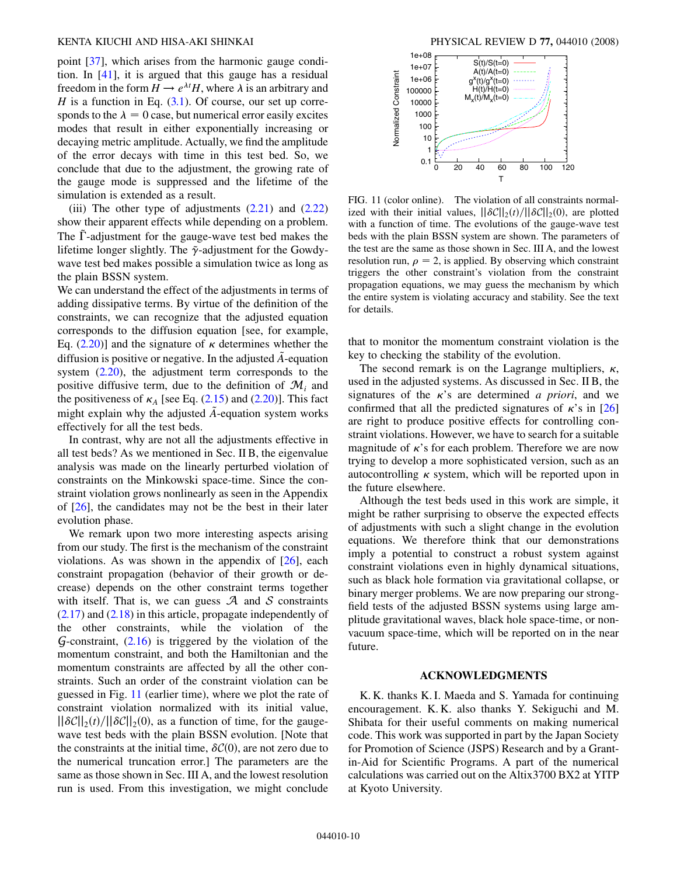point [[37](#page-10-24)], which arises from the harmonic gauge condition. In [[41](#page-10-29)], it is argued that this gauge has a residual freedom in the form  $H \to e^{\lambda t}H$ , where  $\lambda$  is an arbitrary and *H* is a function in Eq.  $(3.1)$  $(3.1)$  $(3.1)$ . Of course, our set up corresponds to the  $\lambda = 0$  case, but numerical error easily excites modes that result in either exponentially increasing or decaying metric amplitude. Actually, we find the amplitude of the error decays with time in this test bed. So, we conclude that due to the adjustment, the growing rate of the gauge mode is suppressed and the lifetime of the simulation is extended as a result.

(iii) The other type of adjustments  $(2.21)$  and  $(2.22)$  $(2.22)$ show their apparent effects while depending on a problem. The  $\Gamma$ -adjustment for the gauge-wave test bed makes the lifetime longer slightly. The  $\tilde{\gamma}$ -adjustment for the Gowdywave test bed makes possible a simulation twice as long as the plain BSSN system.

We can understand the effect of the adjustments in terms of adding dissipative terms. By virtue of the definition of the constraints, we can recognize that the adjusted equation corresponds to the diffusion equation [see, for example, Eq.  $(2.20)$  $(2.20)$ ] and the signature of  $\kappa$  determines whether the diffusion is positive or negative. In the adjusted A-equation system [\(2.20\)](#page-2-0), the adjustment term corresponds to the positive diffusive term, due to the definition of  $\mathcal{M}_i$  and the positiveness of  $\kappa_A$  [see Eq. [\(2.15](#page-1-11)) and [\(2.20](#page-2-0))]. This fact might explain why the adjusted  $\tilde{A}$ -equation system works effectively for all the test beds.

In contrast, why are not all the adjustments effective in all test beds? As we mentioned in Sec. II B, the eigenvalue analysis was made on the linearly perturbed violation of constraints on the Minkowski space-time. Since the constraint violation grows nonlinearly as seen in the Appendix of [[26](#page-10-14)], the candidates may not be the best in their later evolution phase.

We remark upon two more interesting aspects arising from our study. The first is the mechanism of the constraint violations. As was shown in the appendix of  $[26]$  $[26]$  $[26]$ , each constraint propagation (behavior of their growth or decrease) depends on the other constraint terms together with itself. That is, we can guess  $\mathcal A$  and  $\mathcal S$  constraints  $(2.17)$  $(2.17)$  and  $(2.18)$  $(2.18)$  in this article, propagate independently of the other constraints, while the violation of the  $G$ -constraint,  $(2.16)$  $(2.16)$  $(2.16)$  is triggered by the violation of the momentum constraint, and both the Hamiltonian and the momentum constraints are affected by all the other constraints. Such an order of the constraint violation can be guessed in Fig. [11](#page-9-0) (earlier time), where we plot the rate of constraint violation normalized with its initial value,  $\left\vert \left\vert \delta \mathcal{C} \right\vert \right\vert_2(t) / \left\vert \left\vert \delta \mathcal{C} \right\vert \right\vert_2(0)$ , as a function of time, for the gaugewave test beds with the plain BSSN evolution. [Note that the constraints at the initial time,  $\delta\mathcal{C}(0)$ , are not zero due to the numerical truncation error.] The parameters are the same as those shown in Sec. III A, and the lowest resolution run is used. From this investigation, we might conclude

<span id="page-9-0"></span>

FIG. 11 (color online). The violation of all constraints normalized with their initial values,  $\frac{|\delta C||_2(t)}{|\delta C||_2(0)}$ , are plotted with a function of time. The evolutions of the gauge-wave test beds with the plain BSSN system are shown. The parameters of the test are the same as those shown in Sec. III A, and the lowest resolution run,  $\rho = 2$ , is applied. By observing which constraint triggers the other constraint's violation from the constraint propagation equations, we may guess the mechanism by which the entire system is violating accuracy and stability. See the text for details.

that to monitor the momentum constraint violation is the key to checking the stability of the evolution.

The second remark is on the Lagrange multipliers,  $\kappa$ , used in the adjusted systems. As discussed in Sec. II B, the signatures of the  $\kappa$ 's are determined *a priori*, and we confirmed that all the predicted signatures of  $\kappa$ 's in [\[26\]](#page-10-14) are right to produce positive effects for controlling constraint violations. However, we have to search for a suitable magnitude of  $\kappa$ 's for each problem. Therefore we are now trying to develop a more sophisticated version, such as an autocontrolling  $\kappa$  system, which will be reported upon in the future elsewhere.

Although the test beds used in this work are simple, it might be rather surprising to observe the expected effects of adjustments with such a slight change in the evolution equations. We therefore think that our demonstrations imply a potential to construct a robust system against constraint violations even in highly dynamical situations, such as black hole formation via gravitational collapse, or binary merger problems. We are now preparing our strongfield tests of the adjusted BSSN systems using large amplitude gravitational waves, black hole space-time, or nonvacuum space-time, which will be reported on in the near future.

## **ACKNOWLEDGMENTS**

K. K. thanks K. I. Maeda and S. Yamada for continuing encouragement. K. K. also thanks Y. Sekiguchi and M. Shibata for their useful comments on making numerical code. This work was supported in part by the Japan Society for Promotion of Science (JSPS) Research and by a Grantin-Aid for Scientific Programs. A part of the numerical calculations was carried out on the Altix3700 BX2 at YITP at Kyoto University.